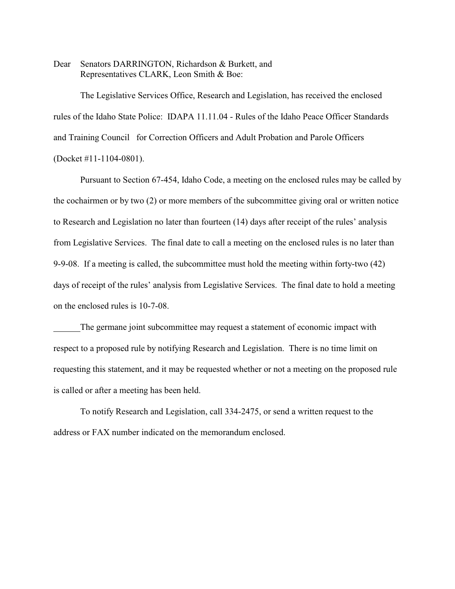Dear Senators DARRINGTON, Richardson & Burkett, and Representatives CLARK, Leon Smith & Boe:

The Legislative Services Office, Research and Legislation, has received the enclosed rules of the Idaho State Police: IDAPA 11.11.04 - Rules of the Idaho Peace Officer Standards and Training Council for Correction Officers and Adult Probation and Parole Officers (Docket #11-1104-0801).

Pursuant to Section 67-454, Idaho Code, a meeting on the enclosed rules may be called by the cochairmen or by two (2) or more members of the subcommittee giving oral or written notice to Research and Legislation no later than fourteen (14) days after receipt of the rules' analysis from Legislative Services. The final date to call a meeting on the enclosed rules is no later than 9-9-08. If a meeting is called, the subcommittee must hold the meeting within forty-two (42) days of receipt of the rules' analysis from Legislative Services. The final date to hold a meeting on the enclosed rules is 10-7-08.

The germane joint subcommittee may request a statement of economic impact with respect to a proposed rule by notifying Research and Legislation. There is no time limit on requesting this statement, and it may be requested whether or not a meeting on the proposed rule is called or after a meeting has been held.

To notify Research and Legislation, call 334-2475, or send a written request to the address or FAX number indicated on the memorandum enclosed.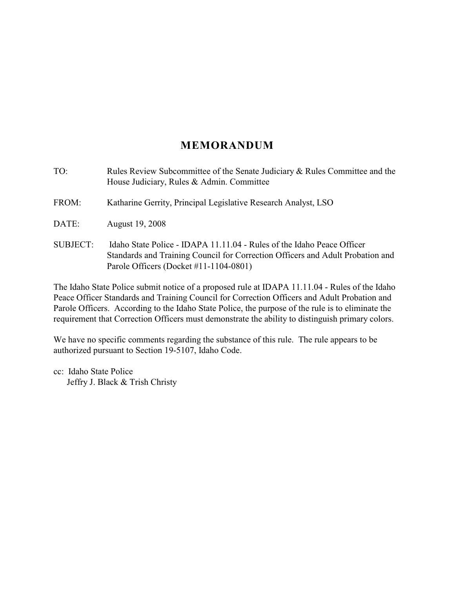# **MEMORANDUM**

TO: Rules Review Subcommittee of the Senate Judiciary & Rules Committee and the House Judiciary, Rules & Admin. Committee FROM: Katharine Gerrity, Principal Legislative Research Analyst, LSO DATE: August 19, 2008 SUBJECT: Idaho State Police - IDAPA 11.11.04 - Rules of the Idaho Peace Officer Standards and Training Council for Correction Officers and Adult Probation and Parole Officers (Docket #11-1104-0801)

The Idaho State Police submit notice of a proposed rule at IDAPA 11.11.04 - Rules of the Idaho Peace Officer Standards and Training Council for Correction Officers and Adult Probation and Parole Officers. According to the Idaho State Police, the purpose of the rule is to eliminate the requirement that Correction Officers must demonstrate the ability to distinguish primary colors.

We have no specific comments regarding the substance of this rule. The rule appears to be authorized pursuant to Section 19-5107, Idaho Code.

cc: Idaho State Police Jeffry J. Black & Trish Christy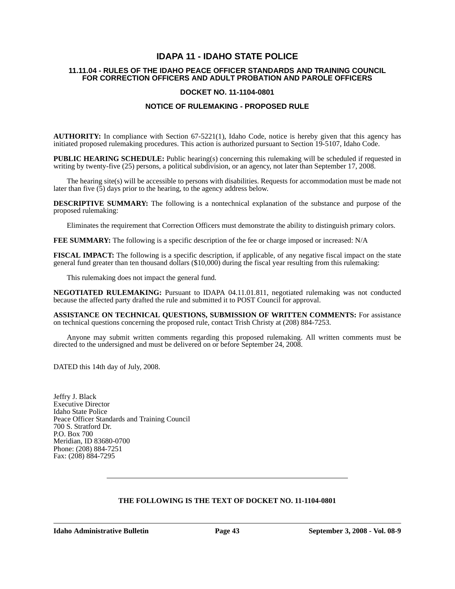## **IDAPA 11 - IDAHO STATE POLICE**

#### **11.11.04 - RULES OF THE IDAHO PEACE OFFICER STANDARDS AND TRAINING COUNCIL FOR CORRECTION OFFICERS AND ADULT PROBATION AND PAROLE OFFICERS**

### **DOCKET NO. 11-1104-0801**

### **NOTICE OF RULEMAKING - PROPOSED RULE**

**AUTHORITY:** In compliance with Section 67-5221(1), Idaho Code, notice is hereby given that this agency has initiated proposed rulemaking procedures. This action is authorized pursuant to Section 19-5107, Idaho Code.

**PUBLIC HEARING SCHEDULE:** Public hearing(s) concerning this rulemaking will be scheduled if requested in writing by twenty-five (25) persons, a political subdivision, or an agency, not later than September 17, 2008.

The hearing site(s) will be accessible to persons with disabilities. Requests for accommodation must be made not later than five  $(5)$  days prior to the hearing, to the agency address below.

**DESCRIPTIVE SUMMARY:** The following is a nontechnical explanation of the substance and purpose of the proposed rulemaking:

Eliminates the requirement that Correction Officers must demonstrate the ability to distinguish primary colors.

**FEE SUMMARY:** The following is a specific description of the fee or charge imposed or increased: N/A

**FISCAL IMPACT:** The following is a specific description, if applicable, of any negative fiscal impact on the state general fund greater than ten thousand dollars (\$10,000) during the fiscal year resulting from this rulemaking:

This rulemaking does not impact the general fund.

**NEGOTIATED RULEMAKING:** Pursuant to IDAPA 04.11.01.811, negotiated rulemaking was not conducted because the affected party drafted the rule and submitted it to POST Council for approval.

**ASSISTANCE ON TECHNICAL QUESTIONS, SUBMISSION OF WRITTEN COMMENTS:** For assistance on technical questions concerning the proposed rule, contact Trish Christy at (208) 884-7253.

Anyone may submit written comments regarding this proposed rulemaking. All written comments must be directed to the undersigned and must be delivered on or before September 24, 2008.

DATED this 14th day of July, 2008.

Jeffry J. Black Executive Director Idaho State Police Peace Officer Standards and Training Council 700 S. Stratford Dr. P.O. Box 700 Meridian, ID 83680-0700 Phone: (208) 884-7251 Fax: (208) 884-7295

#### **THE FOLLOWING IS THE TEXT OF DOCKET NO. 11-1104-0801**

**Idaho Administrative Bulletin Page 43 September 3, 2008 - Vol. 08-9**